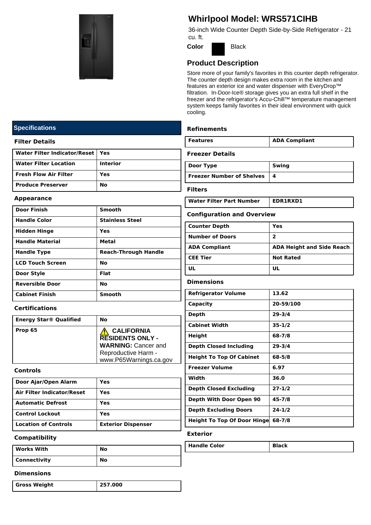

# **Whirlpool Model: WRS571CIHB**

36-inch Wide Counter Depth Side-by-Side Refrigerator - 21 cu. ft.

**Color** Black

### **Product Description**

Store more of your family's favorites in this counter depth refrigerator. The counter depth design makes extra room in the kitchen and features an exterior ice and water dispenser with EveryDrop™ filtration. In-Door-Ice® storage gives you an extra full shelf in the freezer and the refrigerator's Accu-Chill™ temperature management system keeps family favorites in their ideal environment with quick cooling.

#### **Refinements**

| l Features | <b>ADA Compliant</b> |
|------------|----------------------|
|            |                      |

#### **Freezer Details**

| Door Type                        | Swing |
|----------------------------------|-------|
| <b>Freezer Number of Shelves</b> |       |

**Filters**

Water Filter Part Number | EDR1RXD1

| <b>Configuration and Overview</b> |  |  |
|-----------------------------------|--|--|

| <b>Counter Depth</b>   | Yes                              |
|------------------------|----------------------------------|
| <b>Number of Doors</b> | 2                                |
| <b>ADA Compliant</b>   | <b>ADA Height and Side Reach</b> |
| <b>CEE Tier</b>        | <b>Not Rated</b>                 |
| ш                      | UL                               |

#### **Dimensions**

| 13.62                                            |
|--------------------------------------------------|
| 20-59/100                                        |
| 29-3/4                                           |
| $35 - 1/2$                                       |
| 68-7/8                                           |
| $29 - 3/4$                                       |
| 68-5/8                                           |
| 6.97                                             |
| 36.0                                             |
| $27 - 1/2$                                       |
| $45 - 7/8$                                       |
| $24 - 1/2$                                       |
| <b>Height To Top Of Door Hinge</b><br>$68 - 7/8$ |
|                                                  |

#### **Exterior**

| ∟olor<br><b>Handle Q</b> | ~N |
|--------------------------|----|
|--------------------------|----|

#### **Specifications**

#### **Filter Details**

| Water Filter Indicator/Reset   Yes |                 |
|------------------------------------|-----------------|
| l Water Filter Location            | <b>Interior</b> |
| l Fresh Flow Air Filter            | Yes             |
| l Produce Preserver                | Nο              |

#### **Appearance**

| <b>Door Finish</b>      | Smooth                      |
|-------------------------|-----------------------------|
| <b>Handle Color</b>     | <b>Stainless Steel</b>      |
| <b>Hidden Hinge</b>     | Yes                         |
| <b>Handle Material</b>  | Metal                       |
| <b>Handle Type</b>      | <b>Reach-Through Handle</b> |
| <b>LCD Touch Screen</b> | No                          |
| Door Style              | Flat                        |
| <b>Reversible Door</b>  | No                          |
| <b>Cabinet Finish</b>   | <b>Smooth</b>               |

#### **Certifications**

| <b>Energy Star® Qualified</b> | No                                            |
|-------------------------------|-----------------------------------------------|
| Prop 65                       | <b>CALIFORNIA</b><br><b>RESIDENTS ONLY -</b>  |
|                               | <b>WARNING: Cancer and</b>                    |
|                               | Reproductive Harm -<br>www.P65Warnings.ca.gov |

#### **Controls**

| Door Ajar/Open Alarm              | Yes                       |
|-----------------------------------|---------------------------|
| <b>Air Filter Indicator/Reset</b> | Yes                       |
| <b>Automatic Defrost</b>          | Yes                       |
| <b>Control Lockout</b>            | Yes                       |
| <b>Location of Controls</b>       | <b>Exterior Dispenser</b> |

#### **Compatibility**

| Works With          | No |  |
|---------------------|----|--|
| <b>Connectivity</b> | No |  |

#### **Dimensions**

| <b>Gross Weight</b> | 257.000 |
|---------------------|---------|
|                     |         |